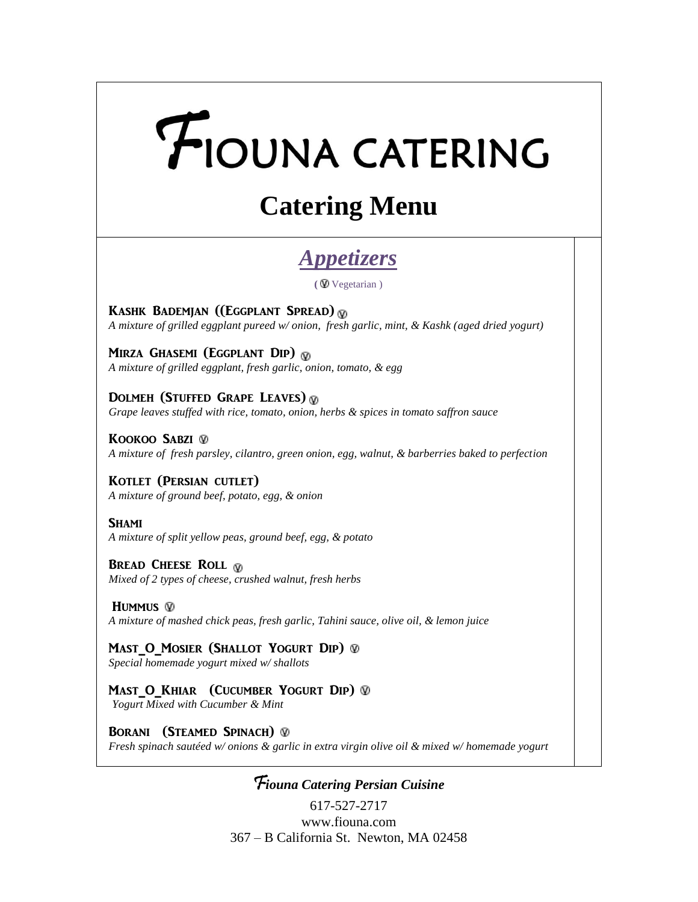# FIOUNA CATERING

# **Catering Menu**

# *Appetizers*

**(** Vegetarian )

Kashk Bademjan ((Eggplant Spread) *A mixture of grilled eggplant pureed w/ onion, fresh garlic, mint, & Kashk (aged dried yogurt)*

Mirza Ghasemi (Eggplant Dip) *A mixture of grilled eggplant, fresh garlic, onion, tomato, & egg*

DOLMEH (STUFFED GRAPE LEAVES) *Grape leaves stuffed with rice, tomato, onion, herbs & spices in tomato saffron sauce*

KOOKOO SABZI W *A mixture of fresh parsley, cilantro, green onion, egg, walnut, & barberries baked to perfection*

Kotlet (Persian cutlet) *A mixture of ground beef, potato, egg, & onion*

#### **SHAMI**

*A mixture of split yellow peas, ground beef, egg, & potato*

**BREAD CHEESE ROLL ®** *Mixed of 2 types of cheese, crushed walnut, fresh herbs*

HUMMUS ® *A mixture of mashed chick peas, fresh garlic, Tahini sauce, olive oil, & lemon juice*

MAST O MOSIER (SHALLOT YOGURT DIP) @ *Special homemade yogurt mixed w/ shallots*

MAST O KHIAR (CUCUMBER YOGURT DIP) @

*Yogurt Mixed with Cucumber & Mint*

BORANI (STEAMED SPINACH) W *Fresh spinach sautéed w/ onions & garlic in extra virgin olive oil & mixed w/ homemade yogurt*

#### F*iouna Catering Persian Cuisine*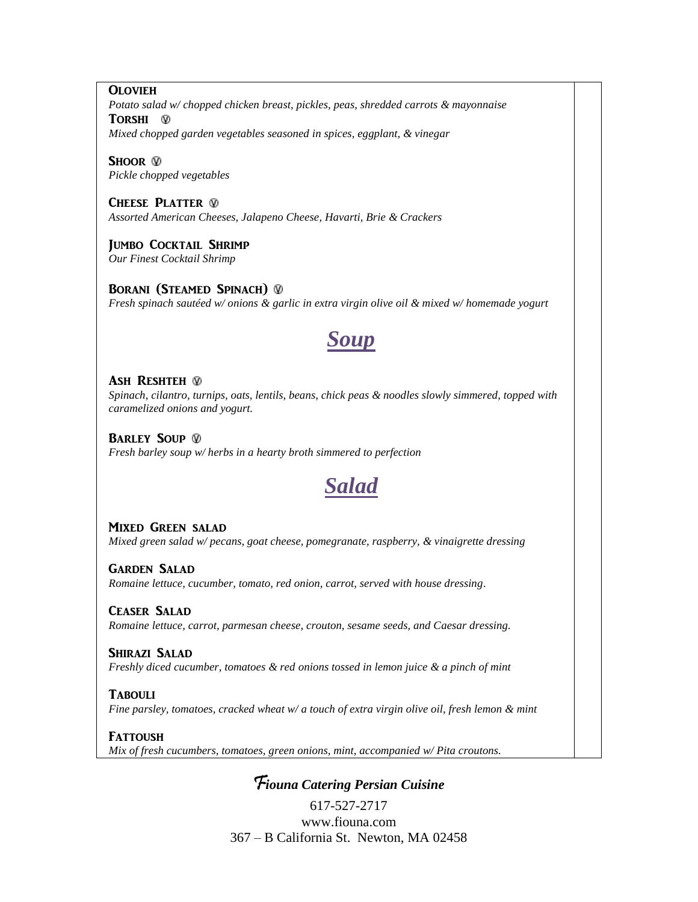**OLOVIEH** 

*Potato salad w/ chopped chicken breast, pickles, peas, shredded carrots & mayonnaise* TORSHI W

*Mixed chopped garden vegetables seasoned in spices, eggplant, & vinegar*

SHOOR <sup>®</sup> *Pickle chopped vegetables*

CHEESE PLATTER **W** *Assorted American Cheeses, Jalapeno Cheese, Havarti, Brie & Crackers*

Jumbo Cocktail Shrimp *Our Finest Cocktail Shrimp*

BORANI (STEAMED SPINACH) @ *Fresh spinach sautéed w/ onions & garlic in extra virgin olive oil & mixed w/ homemade yogurt*

# *Soup*

#### ASH RESHTEH W

*Spinach, cilantro, turnips, oats, lentils, beans, chick peas & noodles slowly simmered, topped with caramelized onions and yogurt.*

**BARLEY SOUP W** *Fresh barley soup w/ herbs in a hearty broth simmered to perfection*

## *Salad*

Mixed Green salad *Mixed green salad w/ pecans, goat cheese, pomegranate, raspberry, & vinaigrette dressing*

Garden Salad *Romaine lettuce, cucumber, tomato, red onion, carrot, served with house dressing.*

Ceaser Salad *Romaine lettuce, carrot, parmesan cheese, crouton, sesame seeds, and Caesar dressing.*

Shirazi Salad *Freshly diced cucumber, tomatoes & red onions tossed in lemon juice & a pinch of mint*

**TABOULI** *Fine parsley, tomatoes, cracked wheat w/ a touch of extra virgin olive oil, fresh lemon & mint*

**FATTOUSH** *Mix of fresh cucumbers, tomatoes, green onions, mint, accompanied w/ Pita croutons.*

### F*iouna Catering Persian Cuisine*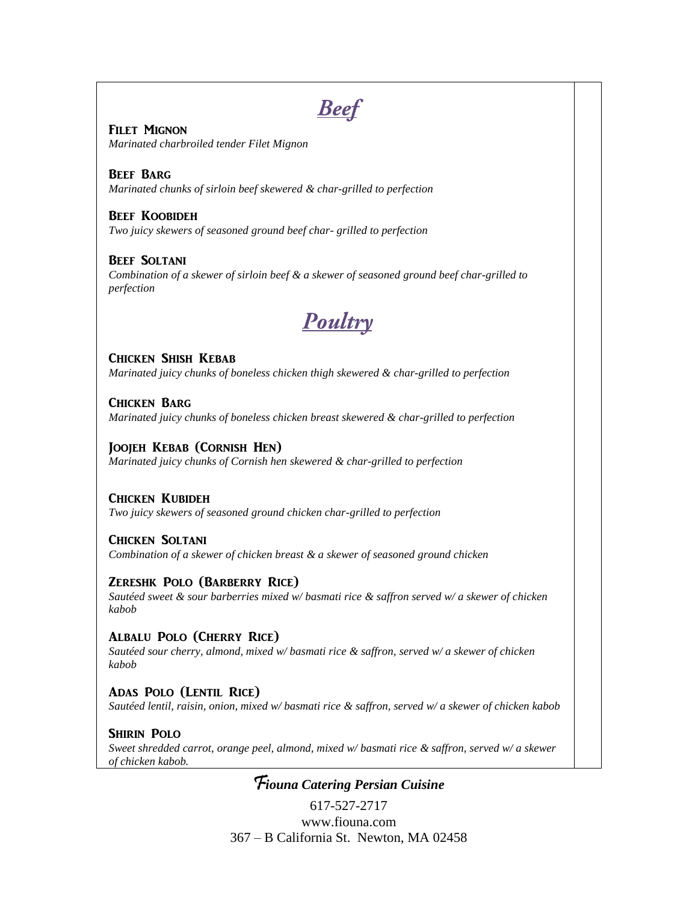# <u>Beef</u>

FILET MIGNON *Marinated charbroiled tender Filet Mignon*

**BEEF BARG** *Marinated chunks of sirloin beef skewered & char-grilled to perfection*

Beef Koobideh *Two juicy skewers of seasoned ground beef char- grilled to perfection*

**BEEF SOLTANI** *Combination of a skewer of sirloin beef & a skewer of seasoned ground beef char-grilled to perfection*



Chicken Shish Kebab *Marinated juicy chunks of boneless chicken thigh skewered & char-grilled to perfection*

Chicken Barg *Marinated juicy chunks of boneless chicken breast skewered & char-grilled to perfection*

Joojeh Kebab (Cornish Hen) *Marinated juicy chunks of Cornish hen skewered & char-grilled to perfection*

Chicken Kubideh *Two juicy skewers of seasoned ground chicken char-grilled to perfection*

Chicken Soltani *Combination of a skewer of chicken breast & a skewer of seasoned ground chicken*

Zereshk Polo (Barberry Rice) *Sautéed sweet & sour barberries mixed w/ basmati rice & saffron served w/ a skewer of chicken kabob*

Albalu Polo (Cherry Rice) *Sautéed sour cherry, almond, mixed w/ basmati rice & saffron, served w/ a skewer of chicken kabob*

Adas Polo (Lentil Rice) *Sautéed lentil, raisin, onion, mixed w/ basmati rice & saffron, served w/ a skewer of chicken kabob*

**SHIRIN POLO** *Sweet shredded carrot, orange peel, almond, mixed w/ basmati rice & saffron, served w/ a skewer of chicken kabob.*

### F*iouna Catering Persian Cuisine*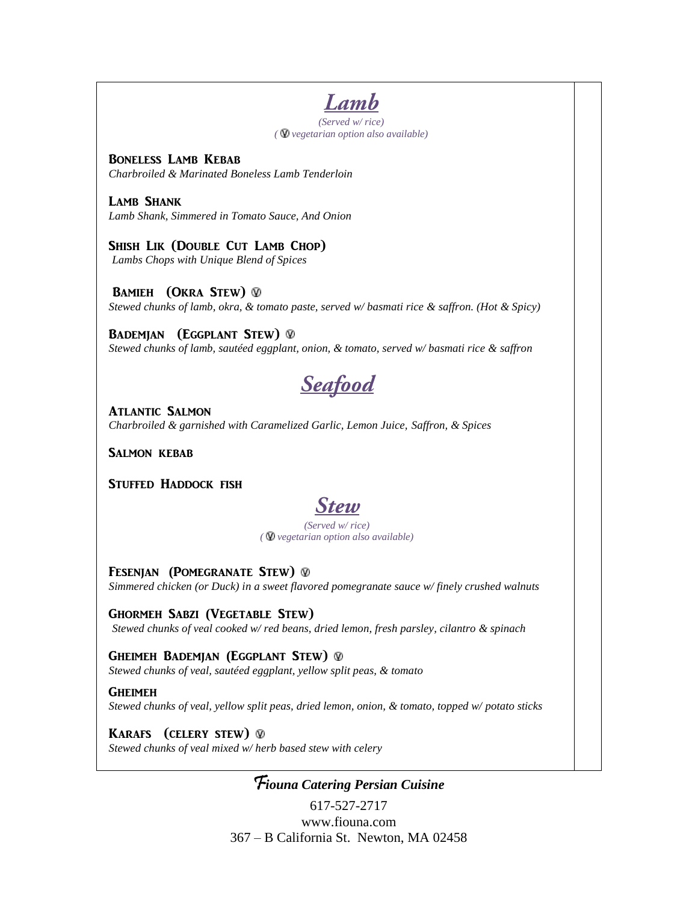

*(Served w/ rice) ( vegetarian option also available)*

BONELESS LAMB KEBAB *Charbroiled & Marinated Boneless Lamb Tenderloin*

LAMB SHANK *Lamb Shank, Simmered in Tomato Sauce, And Onion*

SHISH LIK (DOUBLE CUT LAMB CHOP) *Lambs Chops with Unique Blend of Spices*

BAMIEH (OKRA STEW) ® *Stewed chunks of lamb, okra, & tomato paste, served w/ basmati rice & saffron. (Hot & Spicy)*

BADEMJAN (EGGPLANT STEW) @ *Stewed chunks of lamb, sautéed eggplant, onion, & tomato, served w/ basmati rice & saffron*

# Seafood

Atlantic Salmon *Charbroiled & garnished with Caramelized Garlic, Lemon Juice, Saffron, & Spices*

SALMON KEBAB

STUFFED HADDOCK FISH

*(Served w/ rice) ( vegetarian option also available)*

Fesenjan **(**Pomegranate Stew) *Simmered chicken (or Duck) in a sweet flavored pomegranate sauce w/ finely crushed walnuts* 

Ghormeh Sabzi **(**Vegetable Stew) *Stewed chunks of veal cooked w/ red beans, dried lemon, fresh parsley, cilantro & spinach*

Gheimeh Bademjan **(**Eggplant Stew) *Stewed chunks of veal, sautéed eggplant, yellow split peas, & tomato*

**GHEIMEH** *Stewed chunks of veal, yellow split peas, dried lemon, onion, & tomato, topped w/ potato sticks*

KARAFS (CELERY STEW) **W** *Stewed chunks of veal mixed w/ herb based stew with celery*

F*iouna Catering Persian Cuisine*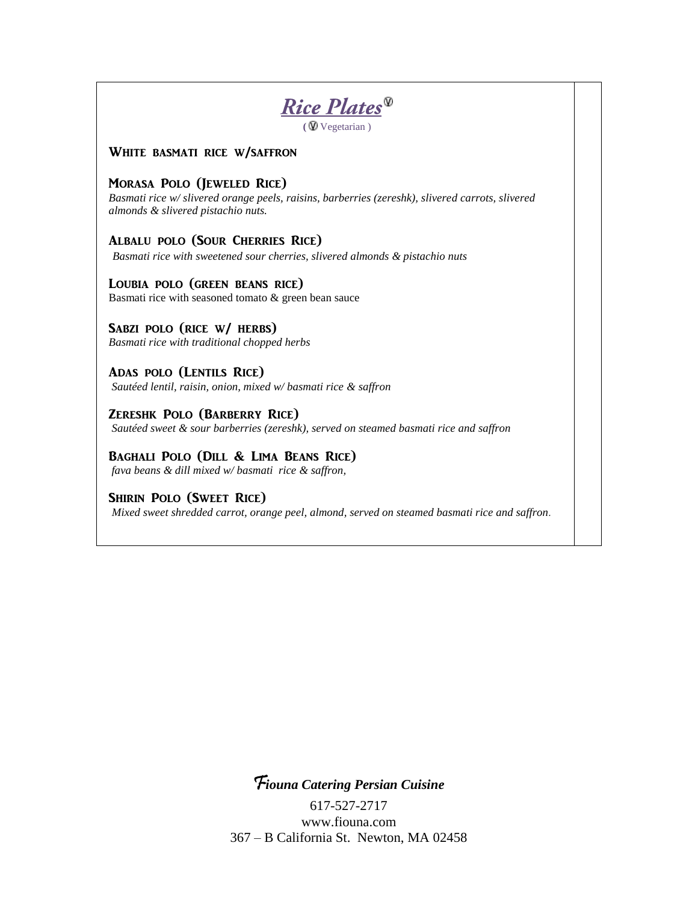

**(** Vegetarian )

#### White basmati rice w/saffron

#### Morasa Polo (Jeweled Rice)

*Basmati rice w/ slivered orange peels, raisins, barberries (zereshk), slivered carrots, slivered almonds & slivered pistachio nuts.* 

#### Albalu polo (Sour Cherries Rice)

*Basmati rice with sweetened sour cherries, slivered almonds & pistachio nuts*

Loubia polo (green beans rice) Basmati rice with seasoned tomato & green bean sauce

#### SABZI POLO (RICE W/ HERBS)

*Basmati rice with traditional chopped herbs*

Adas polo (Lentils Rice) *Sautéed lentil, raisin, onion, mixed w/ basmati rice & saffron*

Zereshk Polo (Barberry Rice) *Sautéed sweet & sour barberries (zereshk), served on steamed basmati rice and saffron*

#### Baghali Polo (Dill & Lima Beans Rice) *fava beans & dill mixed w/ basmati rice & saffron,*

#### Shirin Polo (Sweet Rice)

*Mixed sweet shredded carrot, orange peel, almond, served on steamed basmati rice and saffron.*

F*iouna Catering Persian Cuisine*